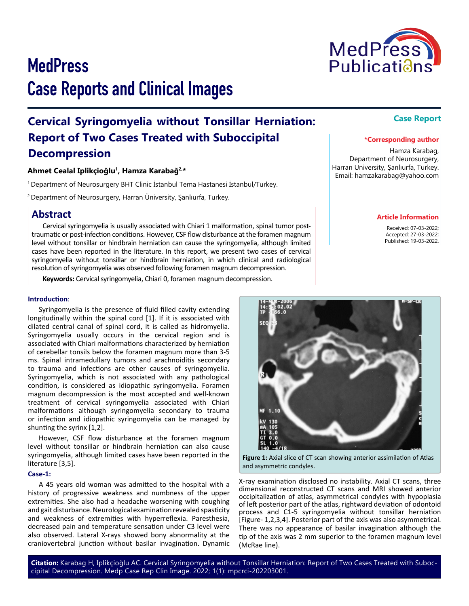# **MedPress** Case Reports and Clinical Images

## **Cervical Syringomyelia without Tonsillar Herniation: Report of Two Cases Treated with Suboccipital Decompression**

## **Ahmet Cealal Iplikçioğlu<sup>1</sup>, Hamza Karabağ2,\***

<sup>1</sup>Department of Neurosurgery BHT Clinic İstanbul Tema Hastanesi İstanbul/Turkey.

<sup>2</sup>Department of Neurosurgery, Harran Üniversity, Şanlıurfa, Turkey.

## **Abstract**

Cervical syringomyelia is usually associated with Chiari 1 malformation, spinal tumor posttraumatic or post-infection conditions. However, CSF flow disturbance at the foramen magnum level without tonsillar or hindbrain herniation can cause the syringomyelia, although limited cases have been reported in the literature. In this report, we present two cases of cervical syringomyelia without tonsillar or hindbrain herniation, in which clinical and radiological resolution of syringomyelia was observed following foramen magnum decompression.

**Keywords:** Cervical syringomyelia, Chiari 0, foramen magnum decompression.

## **Introduction**:

Syringomyelia is the presence of fluid filled cavity extending longitudinally within the spinal cord [1]. If it is associated with dilated central canal of spinal cord, it is called as hidromyelia. Syringomyelia usually occurs in the cervical region and is associated with Chiari malformations characterized by herniation of cerebellar tonsils below the foramen magnum more than 3-5 ms. Spinal intramedullary tumors and arachnoiditis secondary to trauma and infections are other causes of syringomyelia. Syringomyelia, which is not associated with any pathological condition, is considered as idiopathic syringomyelia. Foramen magnum decompression is the most accepted and well-known treatment of cervical syringomyelia associated with Chiari malformations although syringomyelia secondary to trauma or infection and idiopathic syringomyelia can be managed by shunting the syrinx [1,2].

However, CSF flow disturbance at the foramen magnum level without tonsillar or hindbrain herniation can also cause syringomyelia, although limited cases have been reported in the literature [3,5].

## **Case-1:**

A 45 years old woman was admitted to the hospital with a history of progressive weakness and numbness of the upper extremities. She also had a headache worsening with coughing and gait disturbance. Neurological examination revealed spasticity and weakness of extremities with hyperreflexia. Paresthesia, decreased pain and temperature sensation under C3 level were also observed. Lateral X-rays showed bony abnormality at the craniovertebral junction without basilar invagination. Dynamic

**Citation:** Karabag H, Iplikçioğlu AC. Cervical Syringomyelia without Tonsillar Herniation: Report of Two Cases Treated with Suboccipital Decompression. Medp Case Rep Clin Image. 2022; 1(1): mpcrci-202203001.

### **\*Corresponding author**

Hamza Karabag, Department of Neurosurgery, Harran University, Şanlıurfa, Turkey. Email: hamzakarabag@yahoo.com

#### **Article Information**

 Received: 07-03-2022; Accepted: 27-03-2022; Published: 19-03-2022.



X-ray examination disclosed no instability. Axial CT scans, three dimensional reconstructed CT scans and MRI showed anterior occipitalization of atlas, asymmetrical condyles with hypoplasia of left posterior part of the atlas, rightward deviation of odontoid process and C1-5 syringomyelia without tonsillar herniation [Figure- 1,2,3,4]. Posterior part of the axis was also asymmetrical. There was no appearance of basilar invagination although the tip of the axis was 2 mm superior to the foramen magnum level (McRae line).

## **Case Report**



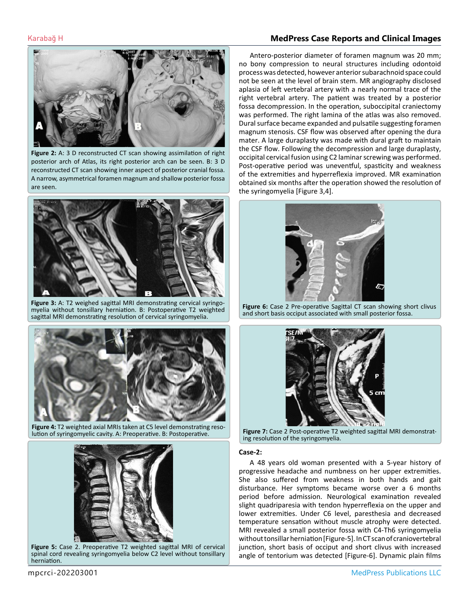## Karabağ H **MedPress Case Reports and Clinical Images**



**Figure 2:** A: 3 D reconstructed CT scan showing assimilation of right posterior arch of Atlas, its right posterior arch can be seen. B: 3 D reconstructed CT scan showing inner aspect of posterior cranial fossa. A narrow, asymmetrical foramen magnum and shallow posterior fossa are seen.



**Figure 3:** A: T2 weighed sagittal MRI demonstrating cervical syringomyelia without tonsillary herniation. B: Postoperative T2 weighted sagittal MRI demonstrating resolution of cervical syringomyelia.



**Figure 4:** T2 weighted axial MRIs taken at C5 level demonstrating resolution of syringomyelic cavity. A: Preoperative. B: Postoperative.



**Figure 5:** Case 2. Preoperative T2 weighted sagittal MRI of cervical spinal cord revealing syringomyelia below C2 level without tonsillary herniation.

Antero-posterior diameter of foramen magnum was 20 mm; no bony compression to neural structures including odontoid process was detected, however anterior subarachnoid space could not be seen at the level of brain stem. MR angiography disclosed aplasia of left vertebral artery with a nearly normal trace of the right vertebral artery. The patient was treated by a posterior fossa decompression. In the operation, suboccipital craniectomy was performed. The right lamina of the atlas was also removed. Dural surface became expanded and pulsatile suggesting foramen magnum stenosis. CSF flow was observed after opening the dura mater. A large duraplasty was made with dural graft to maintain the CSF flow. Following the decompression and large duraplasty, occipital cervical fusion using C2 laminar screwing was performed. Post-operative period was uneventful, spasticity and weakness of the extremities and hyperreflexia improved. MR examination obtained six months after the operation showed the resolution of the syringomyelia [Figure 3,4].



**Figure 6:** Case 2 Pre-operative Sagittal CT scan showing short clivus and short basis occiput associated with small posterior fossa.



**Figure 7:** Case 2 Post-operative T2 weighted sagittal MRI demonstrating resolution of the syringomyelia.

### **Case-2:**

A 48 years old woman presented with a 5-year history of progressive headache and numbness on her upper extremities. She also suffered from weakness in both hands and gait disturbance. Her symptoms became worse over a 6 months period before admission. Neurological examination revealed slight quadriparesia with tendon hyperreflexia on the upper and lower extremities. Under C6 level, paresthesia and decreased temperature sensation without muscle atrophy were detected. MRI revealed a small posterior fossa with C4-Th6 syringomyelia without tonsillar herniation [Figure-5]. In CT scan of craniovertebral junction, short basis of occiput and short clivus with increased angle of tentorium was detected [Figure-6]. Dynamic plain films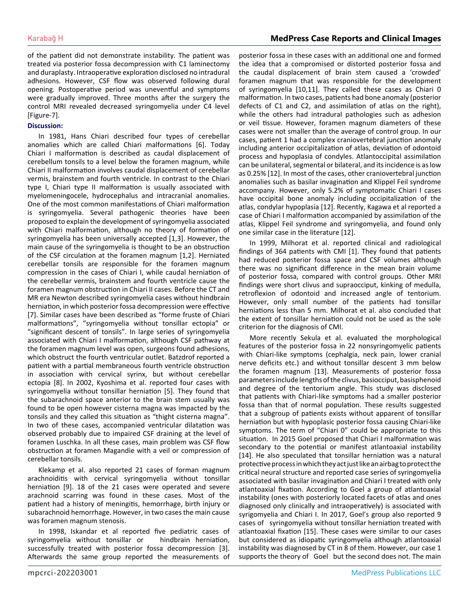of the patient did not demonstrate instability. The patient was treated via posterior fossa decompression with C1 laminectomy and duraplasty. Intraoperative exploration disclosed no intradural adhesions. However, CSF flow was observed following dural opening. Postoperative period was uneventful and symptoms were gradually improved. Three months after the surgery the control MRI revealed decreased syringomyelia under C4 level [Figure-7].

## **Discussion:**

In 1981, Hans Chiari described four types of cerebellar anomalies which are called Chiari malformations [6]. Today Chiari I malformation is described as caudal displacement of cerebellum tonsils to a level below the foramen magnum, while Chiari II malformation involves caudal displacement of cerebellar vermis, brainstem and fourth ventricle. In contrast to the Chiari type I, Chiari type II malformation is usually associated with myelomeningocele, hydrocephalus and intracranial anomalies. One of the most common manifestations of Chiari malformation is syringomyelia. Several pathogenic theories have been proposed to explain the development of syringomyelia associated with Chiari malformation, although no theory of formation of syringomyelia has been universally accepted [1,3]. However, the main cause of the syringomyelia is thought to be an obstruction of the CSF circulation at the foramen magnum [1,2]. Herniated cerebellar tonsils are responsible for the foramen magnum compression in the cases of Chiari I, while caudal herniation of the cerebellar vermis, brainstem and fourth ventricle cause the foramen magnum obstruction in Chiari II cases. Before the CT and MR era Newton described syringomyelia cases without hindbrain herniation, in which posterior fossa decompression were effective [7]. Similar cases have been described as "forme fruste of Chiari malformations", "syringomyelia without tonsillar ectopia" or "significant descent of tonsils". In large series of syringomyelia associated with Chiari I malformation, although CSF pathway at the foramen magnum level was open, surgeons found adhesions, which obstruct the fourth ventricular outlet. Batzdrof reported a patient with a partial membraneous fourth ventricle obstruction in association with cervical syrinx, but without cerebellar ectopia [8]. In 2002, Kyoshima et al. reported four cases with syringomyelia without tonsillar herniation [5]. They found that the subarachnoid space anterior to the brain stem usually was found to be open however cisterna magna was impacted by the tonsils and they called this situation as "thight cisterna magna". In two of these cases, accompanied ventricular dilatation was observed probably due to impaired CSF draining at the level of foramen Luschka. In all these cases, main problem was CSF flow obstruction at foramen Magandie with a veil or compression of cerebellar tonsils.

Klekamp et al. also reported 21 cases of forman magnum arachnoiditis with cervical syringomyelia without tonsillar herniation [9]. 18 of the 21 cases were operated and severe arachnoid scarring was found in these cases. Most of the patient had a history of meningitis, hemorrhage, birth injury or subarachnoid hemorrhage. However, in two cases the main cause was foramen magnum stenosis.

In 1998, Iskandar et al reported five pediatric cases of syringomyelia without tonsillar or hindbrain herniation, successfully treated with posterior fossa decompression [3]. Afterwards the same group reported the measurements of posterior fossa in these cases with an additional one and formed the idea that a compromised or distorted posterior fossa and the caudal displacement of brain stem caused a 'crowded' foramen magnum that was responsible for the development of syringomyelia [10,11]. They called these cases as Chiari 0 malformation. In two cases, patients had bone anomaly (posterior defects of C1 and C2, and assimilation of atlas on the right), while the others had intradural pathologies such as adhesion or veil tissue. However, foramen magnum diameters of these cases were not smaller than the average of control group. In our cases, patient 1 had a complex craniovertebral junction anomaly including anterior occipitalization of atlas, deviation of odontoid process and hypoplasia of condyles. Atlantoccipital assimilation can be unilateral, segmental or bilateral, and its incidence is as low as 0.25% [12]. In most of the cases, other craniovertebral junction anomalies such as basilar invagination and Klippel Feil syndrome accompany. However, only 5.2% of symptomatic Chiari I cases have occipital bone anomaly including occipitalization of the atlas, condylar hypoplasia [12]. Recently, Kagawa et al reported a case of Chiari I malformation accompanied by assimilation of the atlas, Klippel Feil syndrome and syringomyelia, and found only one similar case in the literature [12].

In 1999, Milhorat et al. reported clinical and radiological findings of 364 patients with CMI [1]. They found that patients had reduced posterior fossa space and CSF volumes although there was no significant difference in the mean brain volume of posterior fossa, compared with control groups. Other MRI findings were short clivus and supraocciput, kinking of medulla, retroflexion of odontoid and increased angle of tentorium. However, only small number of the patients had tonsillar herniations less than 5 mm. Milhorat et al. also concluded that the extent of tonsillar herniation could not be used as the sole criterion for the diagnosis of CMI.

More recently Sekula et al. evaluated the morphological features of the posterior fossa in 22 nonsyringomyelic patients with Chiari-like symptoms (cephalgia, neck pain, lower cranial nerve deficits etc.) and without tonsillar descent 3 mm below the foramen magnum [13]. Measurements of posterior fossa parameters include lengths of the clivus, basiocciput, basisphenoid and degree of the tentorium angle. This study was disclosed that patients with Chiari-like symptoms had a smaller posterior fossa than that of normal population. These results suggested that a subgroup of patients exists without apparent of tonsillar herniation but with hypoplasic posterior fossa causing Chiari-like symptoms. The term of "Chiari 0" could be appropriate to this situation. In 2015 Goel proposed that Chiari I malformation was secondary to the potential or manifest atlantoaxial instability [14]. He also speculated that tonsillar herniation was a natural protective process in which they act just like an airbag to protect the critical neural structure and reported case series of syringomyelia associated with basilar invagination and Chiari I treated with only atlantoaxial fixation. According to Goel a group of atlantoaxial instability (ones with posteriorly located facets of atlas and ones diagnosed only clinically and intraoperatively) is associated with syrigomyelia and Chiari I. In 2017, Goel's group also reported 9 cases of syringomyelia without tonsillar herniation treated with atlantoaxial fixation [15]. These cases were similar to our cases but considered as idiopatic syringomyelia although atlantoaxial instability was diagnosed by CT in 8 of them. However, our case 1 supports the theory of Goel but the second does not. The main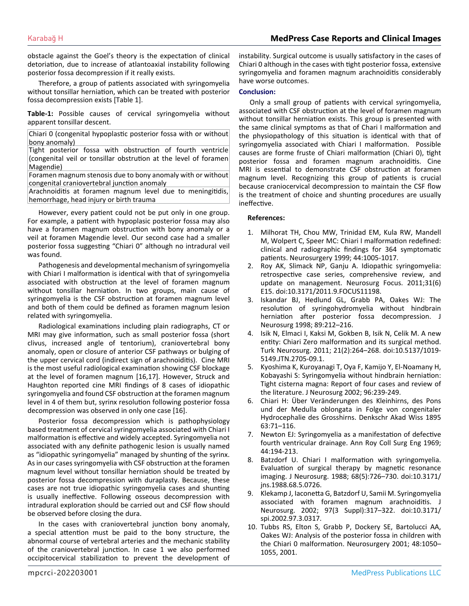obstacle against the Goel's theory is the expectation of clinical detoriation, due to increase of atlantoaxial instability following posterior fossa decompression if it really exists.

Therefore, a group of patients associated with syringomyelia without tonsillar herniation, which can be treated with posterior fossa decompression exists [Table 1].

**Table-1:** Possible causes of cervical syringomyelia without apparent tonsillar descent.

Chiari 0 (congenital hypoplastic posterior fossa with or without bony anomaly)

Tight posterior fossa with obstruction of fourth ventricle (congenital veil or tonsillar obstrution at the level of foramen Magendie)

Foramen magnum stenosis due to bony anomaly with or without congenital craniovertebral junction anomaly

Arachnoiditis at foramen magnum level due to meningitidis, hemorrhage, head injury or birth trauma

However, every patient could not be put only in one group. For example, a patient with hypoplasic posterior fossa may also have a foramen magnum obstruction with bony anomaly or a veil at foramen Magendie level. Our second case had a smaller posterior fossa suggesting "Chiari 0" although no intradural veil was found.

Pathogenesis and developmental mechanism of syringomyelia with Chiari I malformation is identical with that of syringomyelia associated with obstruction at the level of foramen magnum without tonsillar herniation. In two groups, main cause of syringomyelia is the CSF obstruction at foramen magnum level and both of them could be defined as foramen magnum lesion related with syringomyelia.

Radiological examinations including plain radiographs, CT or MRI may give information, such as small posterior fossa (short clivus, increased angle of tentorium), craniovertebral bony anomaly, open or closure of anterior CSF pathways or bulging of the upper cervical cord (indirect sign of arachnoiditis). Cine MRI is the most useful radiological examination showing CSF blockage at the level of foramen magnum [16,17]. However, Struck and Haughton reported cine MRI findings of 8 cases of idiopathic syringomyelia and found CSF obstruction at the foramen magnum level in 4 of them but, syrinx resolution following posterior fossa decompression was observed in only one case [16].

Posterior fossa decompression which is pathophysiology based treatment of cervical syringomyelia associated with Chiari I malformation is effective and widely accepted. Syringomyelia not associated with any definite pathogenic lesion is usually named as "idiopathic syringomyelia" managed by shunting of the syrinx. As in our cases syringomyelia with CSF obstruction at the foramen magnum level without tonsillar herniation should be treated by posterior fossa decompression with duraplasty. Because, these cases are not true idiopathic syringomyelia cases and shunting is usually ineffective. Following osseous decompression with intradural exploration should be carried out and CSF flow should be observed before closing the dura.

In the cases with craniovertebral junction bony anomaly, a special attention must be paid to the bony structure, the abnormal course of vertebral arteries and the mechanic stability of the craniovertebral junction. In case 1 we also performed occipitocervical stabilization to prevent the development of

instability. Surgical outcome is usually satisfactory in the cases of Chiari 0 although in the cases with tight posterior fossa, extensive syringomyelia and foramen magnum arachnoiditis considerably have worse outcomes.

## **Conclusion:**

Only a small group of patients with cervical syringomyelia, associated with CSF obstruction at the level of foramen magnum without tonsillar herniation exists. This group is presented with the same clinical symptoms as that of Chari I malformation and the physiopathology of this situation is identical with that of syringomyelia associated with Chiari I malformation. Possible causes are forme fruste of Chiari malformation (Chiari 0), tight posterior fossa and foramen magnum arachnoiditis. Cine MRI is essential to demonstrate CSF obstruction at foramen magnum level. Recognizing this group of patients is crucial because craniocervical decompression to maintain the CSF flow is the treatment of choice and shunting procedures are usually ineffective.

## **References:**

- 1. [Milhorat TH, Chou MW, Trinidad EM, Kula RW, Mandell](https://pubmed.ncbi.nlm.nih.gov/10598724/)  [M, Wolpert C, Speer MC: Chiari I malformation redefined:](https://pubmed.ncbi.nlm.nih.gov/10598724/) [clinical and radiographic findings for 364 symptomatic](https://pubmed.ncbi.nlm.nih.gov/10598724/)  [patients. Neurosurgery 1999; 44:1005-1017.](https://pubmed.ncbi.nlm.nih.gov/10598724/)
- 2. [Roy AK, Slimack NP, Ganju A. Idiopathic syringomyelia:](https://pubmed.ncbi.nlm.nih.gov/22133183/) [retrospective case series, comprehensive review, and](https://pubmed.ncbi.nlm.nih.gov/22133183/)  [update on management. Neurosurg Focus. 2011;31\(6\)](https://pubmed.ncbi.nlm.nih.gov/22133183/) [E15. doi:10.3171/2011.9.FOCUS11198.](https://pubmed.ncbi.nlm.nih.gov/22133183/)
- 3. [Iskandar BJ, Hedlund GL, Grabb PA, Oakes WJ: The](https://pubmed.ncbi.nlm.nih.gov/9688115/)  [resolution of syringohydromyelia without hindbrain](https://pubmed.ncbi.nlm.nih.gov/9688115/)  [herniation after posterior fossa decompression. J](https://pubmed.ncbi.nlm.nih.gov/9688115/) [Neurosurg 1998; 89:212–216.](https://pubmed.ncbi.nlm.nih.gov/9688115/)
- 4. [Isik N, Elmaci I, Kaksi M, Gokben B, Isik N, Celik M. A new](https://pubmed.ncbi.nlm.nih.gov/21534216/) [entity: Chiari Zero malformation and its surgical method.](https://pubmed.ncbi.nlm.nih.gov/21534216/)  [Turk Neurosurg. 2011; 21\(2\):264–268. doi:10.5137/1019-](https://pubmed.ncbi.nlm.nih.gov/21534216/) [5149.JTN.2705-09.1.](https://pubmed.ncbi.nlm.nih.gov/21534216/)
- 5. [Kyoshima K, Kuroyanagi T, Oya F, Kamijo Y, El-Noamany H,](https://pubmed.ncbi.nlm.nih.gov/12450289/) [Kobayashi S: Syringomyelia without hindbrain herniation:](https://pubmed.ncbi.nlm.nih.gov/12450289/)  [Tight cisterna magna: Report of four cases and review of](https://pubmed.ncbi.nlm.nih.gov/12450289/)  [the literature. J Neurosurg 2002; 96:239-249.](https://pubmed.ncbi.nlm.nih.gov/12450289/)
- 6. [Chiari H: Über Veränderungen des Kleinhirns, des Pons](https://www.worldcat.org/title/uber-veranderungen-des-kleinhirns-des-pons-und-der-medulla-oblongata-in-folge-von-congenitaler-hydrocephalie-des-grosshirns/oclc/4844067)  [und der Medulla oblongata in Folge von congenitaler](https://www.worldcat.org/title/uber-veranderungen-des-kleinhirns-des-pons-und-der-medulla-oblongata-in-folge-von-congenitaler-hydrocephalie-des-grosshirns/oclc/4844067)  [Hydrocephalie des Grosshirns. Denkschr Akad Wiss 1895](https://www.worldcat.org/title/uber-veranderungen-des-kleinhirns-des-pons-und-der-medulla-oblongata-in-folge-von-congenitaler-hydrocephalie-des-grosshirns/oclc/4844067) [63:71–116.](https://www.worldcat.org/title/uber-veranderungen-des-kleinhirns-des-pons-und-der-medulla-oblongata-in-folge-von-congenitaler-hydrocephalie-des-grosshirns/oclc/4844067)
- 7. [Newton EJ: Syringomyelia as a manifestation of defective](https://www.ncbi.nlm.nih.gov/pmc/articles/PMC2387612/) [fourth ventricular drainage. Ann Roy Coll Surg Eng 1969;](https://www.ncbi.nlm.nih.gov/pmc/articles/PMC2387612/) [44:194-213.](https://www.ncbi.nlm.nih.gov/pmc/articles/PMC2387612/)
- 8. [Batzdorf U. Chiari I malformation with syringomyelia.](https://pubmed.ncbi.nlm.nih.gov/3357031/)  [Evaluation of surgical therapy by magnetic resonance](https://pubmed.ncbi.nlm.nih.gov/3357031/) [imaging. J Neurosurg. 1988; 68\(5\):726–730. doi:10.3171/](https://pubmed.ncbi.nlm.nih.gov/3357031/) [jns.1988.68.5.0726.](https://pubmed.ncbi.nlm.nih.gov/3357031/)
- 9. Klekamp J, Iaconetta G, Batzdorf U, Samii M. Syringomyelia associated with foramen magnum arachnoiditis. J Neurosurg. 2002; 97(3 Suppl):317–322. doi:10.3171/ spi.2002.97.3.0317.
- 10. [Tubbs RS, Elton S, Grabb P, Dockery SE, Bartolucci AA,](https://pubmed.ncbi.nlm.nih.gov/11334271/#:~:text=Results%3A All children with a,an increase in the angle) [Oakes WJ: Analysis of the posterior fossa in children with](https://pubmed.ncbi.nlm.nih.gov/11334271/#:~:text=Results%3A All children with a,an increase in the angle)  [the Chiari 0 malformation. Neurosurgery 2001; 48:1050–](https://pubmed.ncbi.nlm.nih.gov/11334271/#:~:text=Results%3A All children with a,an increase in the angle) [1055, 2001.](https://pubmed.ncbi.nlm.nih.gov/11334271/#:~:text=Results%3A All children with a,an increase in the angle)